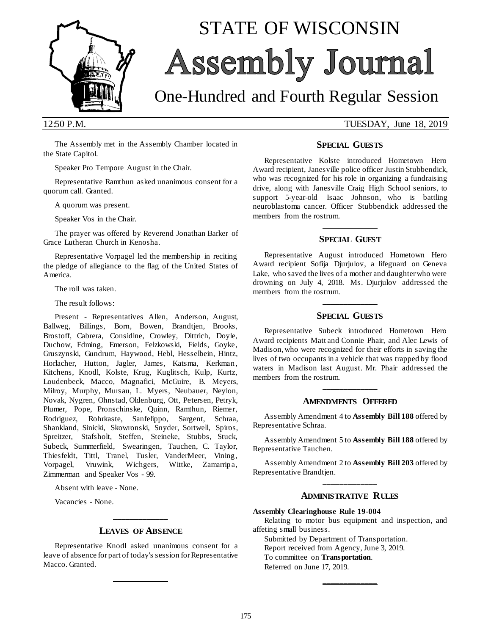

# STATE OF WISCONSIN Assembly Journal

## One-Hundred and Fourth Regular Session

12:50 P.M. TUESDAY, June 18, 2019

The Assembly met in the Assembly Chamber located in the State Capitol.

Speaker Pro Tempore August in the Chair.

Representative Ramthun asked unanimous consent for a quorum call. Granted.

A quorum was present.

Speaker Vos in the Chair.

The prayer was offered by Reverend Jonathan Barker of Grace Lutheran Church in Kenosha.

Representative Vorpagel led the membership in reciting the pledge of allegiance to the flag of the United States of America.

The roll was taken.

The result follows:

Present - Representatives Allen, Anderson, August, Ballweg, Billings, Born, Bowen, Brandtjen, Brooks, Brostoff, Cabrera, Considine, Crowley, Dittrich, Doyle, Duchow, Edming, Emerson, Felzkowski, Fields, Goyke, Gruszynski, Gundrum, Haywood, Hebl, Hesselbein, Hintz, Horlacher, Hutton, Jagler, James, Katsma, Kerkman, Kitchens, Knodl, Kolste, Krug, Kuglitsch, Kulp, Kurtz, Loudenbeck, Macco, Magnafici, McGuire, B. Meyers, Milroy, Murphy, Mursau, L. Myers, Neubauer, Neylon, Novak, Nygren, Ohnstad, Oldenburg, Ott, Petersen, Petryk, Plumer, Pope, Pronschinske, Quinn, Ramthun, Riemer, Rodriguez, Rohrkaste, Sanfelippo, Sargent, Schraa, Shankland, Sinicki, Skowronski, Snyder, Sortwell, Spiros, Spreitzer, Stafsholt, Steffen, Steineke, Stubbs, Stuck, Subeck, Summerfield, Swearingen, Tauchen, C. Taylor, Thiesfeldt, Tittl, Tranel, Tusler, VanderMeer, Vining, Vorpagel, Vruwink, Wichgers, Wittke, Zamarripa, Zimmerman and Speaker Vos - 99.

Absent with leave - None.

Vacancies - None.

## **\_\_\_\_\_\_\_\_\_\_\_\_\_ LEAVES OF ABSENCE**

Representative Knodl asked unanimous consent for a leave of absence for part of today's session for Representative Macco. Granted.

**\_\_\_\_\_\_\_\_\_\_\_\_\_**

### **SPECIAL GUESTS**

Representative Kolste introduced Hometown Hero Award recipient, Janesville police officer Justin Stubbendick, who was recognized for his role in organizing a fundraising drive, along with Janesville Craig High School seniors, to support 5-year-old Isaac Johnson, who is battling neuroblastoma cancer. Officer Stubbendick addressed the members from the rostrum.

## **\_\_\_\_\_\_\_\_\_\_\_\_\_ SPECIAL GUEST**

Representative August introduced Hometown Hero Award recipient Sofija Djurjulov, a lifeguard on Geneva Lake, who saved the lives of a mother and daughter who were drowning on July 4, 2018. Ms. Djurjulov addressed the members from the rostrum.

## **\_\_\_\_\_\_\_\_\_\_\_\_\_ SPECIAL GUESTS**

Representative Subeck introduced Hometown Hero Award recipients Matt and Connie Phair, and Alec Lewis of Madison, who were recognized for their efforts in saving the lives of two occupants in a vehicle that was trapped by flood waters in Madison last August. Mr. Phair addressed the members from the rostrum.

## **\_\_\_\_\_\_\_\_\_\_\_\_\_ AMENDMENTS OFFERED**

Assembly Amendment 4 to **Assembly Bill 188** offered by Representative Schraa.

Assembly Amendment 5 to **Assembly Bill 188** offered by Representative Tauchen.

Assembly Amendment 2 to **Assembly Bill 203** offered by Representative Brandtjen. **\_\_\_\_\_\_\_\_\_\_\_\_\_**

#### **ADMINISTRATIVE RULES**

#### **Assembly Clearinghouse Rule 19-004**

Relating to motor bus equipment and inspection, and affeting small business.

**\_\_\_\_\_\_\_\_\_\_\_\_\_**

Submitted by Department of Transportation.

Report received from Agency, June 3, 2019.

To committee on **Transportation**.

Referred on June 17, 2019.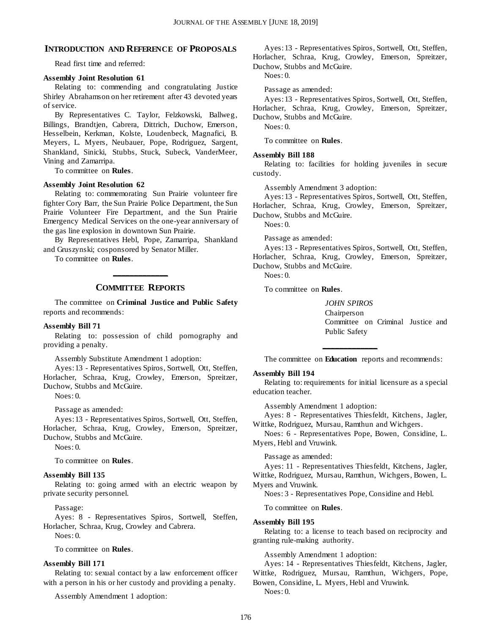#### **INTRODUCTION AND REFERENCE OF PROPOSALS**

Read first time and referred:

#### **Assembly Joint Resolution 61**

Relating to: commending and congratulating Justice Shirley Abrahamson on her retirement after 43 devoted years of service.

By Representatives C. Taylor, Felzkowski, Ballweg, Billings, Brandtjen, Cabrera, Dittrich, Duchow, Emerson, Hesselbein, Kerkman, Kolste, Loudenbeck, Magnafici, B. Meyers, L. Myers, Neubauer, Pope, Rodriguez, Sargent, Shankland, Sinicki, Stubbs, Stuck, Subeck, VanderMeer, Vining and Zamarripa.

To committee on **Rules**.

#### **Assembly Joint Resolution 62**

Relating to: commemorating Sun Prairie volunteer fire fighter Cory Barr, the Sun Prairie Police Department, the Sun Prairie Volunteer Fire Department, and the Sun Prairie Emergency Medical Services on the one-year anniversary of the gas line explosion in downtown Sun Prairie.

By Representatives Hebl, Pope, Zamarripa, Shankland and Gruszynski; cosponsored by Senator Miller.

To committee on **Rules**.

## **\_\_\_\_\_\_\_\_\_\_\_\_\_ COMMITTEE REPORTS**

The committee on **Criminal Justice and Public Safety** reports and recommends:

#### **Assembly Bill 71**

Relating to: possession of child pornography and providing a penalty.

Assembly Substitute Amendment 1 adoption:

Ayes: 13 - Representatives Spiros, Sortwell, Ott, Steffen, Horlacher, Schraa, Krug, Crowley, Emerson, Spreitzer, Duchow, Stubbs and McGuire.

Noes: 0.

Passage as amended:

Ayes: 13 - Representatives Spiros, Sortwell, Ott, Steffen, Horlacher, Schraa, Krug, Crowley, Emerson, Spreitzer, Duchow, Stubbs and McGuire.

Noes: 0.

To committee on **Rules**.

#### **Assembly Bill 135**

Relating to: going armed with an electric weapon by private security personnel.

Passage:

Ayes: 8 - Representatives Spiros, Sortwell, Steffen, Horlacher, Schraa, Krug, Crowley and Cabrera. Noes: 0.

To committee on **Rules**.

#### **Assembly Bill 171**

Relating to: sexual contact by a law enforcement officer with a person in his or her custody and providing a penalty.

Assembly Amendment 1 adoption:

Ayes: 13 - Representatives Spiros, Sortwell, Ott, Steffen, Horlacher, Schraa, Krug, Crowley, Emerson, Spreitzer, Duchow, Stubbs and McGuire.

Noes: 0.

Passage as amended:

Ayes: 13 - Representatives Spiros, Sortwell, Ott, Steffen, Horlacher, Schraa, Krug, Crowley, Emerson, Spreitzer, Duchow, Stubbs and McGuire.

Noes: 0.

To committee on **Rules**.

#### **Assembly Bill 188**

Relating to: facilities for holding juveniles in secure custody.

Assembly Amendment 3 adoption:

Ayes: 13 - Representatives Spiros, Sortwell, Ott, Steffen, Horlacher, Schraa, Krug, Crowley, Emerson, Spreitzer, Duchow, Stubbs and McGuire.

Noes: 0.

Passage as amended:

Ayes: 13 - Representatives Spiros, Sortwell, Ott, Steffen, Horlacher, Schraa, Krug, Crowley, Emerson, Spreitzer, Duchow, Stubbs and McGuire.

Noes: 0.

To committee on **Rules**.

*JOHN SPIROS* Chairperson Committee on Criminal Justice and Public Safety

**\_\_\_\_\_\_\_\_\_\_\_\_\_** The committee on **Education** reports and recommends:

#### **Assembly Bill 194**

Relating to: requirements for initial licensure as a special education teacher.

Assembly Amendment 1 adoption:

Ayes: 8 - Representatives Thiesfeldt, Kitchens, Jagler, Wittke, Rodriguez, Mursau, Ramthun and Wichgers.

Noes: 6 - Representatives Pope, Bowen, Considine, L. Myers, Hebl and Vruwink.

Passage as amended:

Ayes: 11 - Representatives Thiesfeldt, Kitchens, Jagler, Wittke, Rodriguez, Mursau, Ramthun, Wichgers, Bowen, L. Myers and Vruwink.

Noes: 3 - Representatives Pope, Considine and Hebl.

To committee on **Rules**.

#### **Assembly Bill 195**

Relating to: a license to teach based on reciprocity and granting rule-making authority.

Assembly Amendment 1 adoption:

Ayes: 14 - Representatives Thiesfeldt, Kitchens, Jagler, Wittke, Rodriguez, Mursau, Ramthun, Wichgers, Pope, Bowen, Considine, L. Myers, Hebl and Vruwink.

Noes: 0.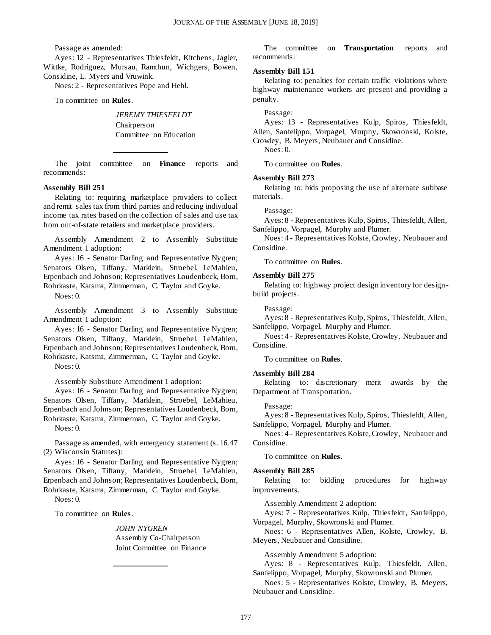Passage as amended:

Ayes: 12 - Representatives Thiesfeldt, Kitchens, Jagler, Wittke, Rodriguez, Mursau, Ramthun, Wichgers, Bowen, Considine, L. Myers and Vruwink.

Noes: 2 - Representatives Pope and Hebl.

To committee on **Rules**.

*JEREMY THIESFELDT* Chairperson Committee on Education

The joint committee on **Finance** reports and recommends:

**\_\_\_\_\_\_\_\_\_\_\_\_\_**

#### **Assembly Bill 251**

Relating to: requiring marketplace providers to collect and remit sales tax from third parties and reducing individual income tax rates based on the collection of sales and use tax from out-of-state retailers and marketplace providers.

Assembly Amendment 2 to Assembly Substitute Amendment 1 adoption:

Ayes: 16 - Senator Darling and Representative Nygren; Senators Olsen, Tiffany, Marklein, Stroebel, LeMahieu, Erpenbach and Johnson; Representatives Loudenbeck, Born, Rohrkaste, Katsma, Zimmerman, C. Taylor and Goyke.

Noes: 0.

Assembly Amendment 3 to Assembly Substitute Amendment 1 adoption:

Ayes: 16 - Senator Darling and Representative Nygren; Senators Olsen, Tiffany, Marklein, Stroebel, LeMahieu, Erpenbach and Johnson; Representatives Loudenbeck, Born, Rohrkaste, Katsma, Zimmerman, C. Taylor and Goyke.

Noes: 0.

Assembly Substitute Amendment 1 adoption:

Ayes: 16 - Senator Darling and Representative Nygren; Senators Olsen, Tiffany, Marklein, Stroebel, LeMahieu, Erpenbach and Johnson; Representatives Loudenbeck, Born, Rohrkaste, Katsma, Zimmerman, C. Taylor and Goyke.

Noes: 0.

Passage as amended, with emergency statement (s. 16.47 (2) Wisconsin Statutes):

Ayes: 16 - Senator Darling and Representative Nygren; Senators Olsen, Tiffany, Marklein, Stroebel, LeMahieu, Erpenbach and Johnson; Representatives Loudenbeck, Born, Rohrkaste, Katsma, Zimmerman, C. Taylor and Goyke.

**\_\_\_\_\_\_\_\_\_\_\_\_\_**

Noes: 0.

#### To committee on **Rules**.

*JOHN NYGREN* Assembly Co-Chairperson Joint Committee on Finance

The committee on **Transportation** reports and recommends:

#### **Assembly Bill 151**

Relating to: penalties for certain traffic violations where highway maintenance workers are present and providing a penalty.

Passage:

Ayes: 13 - Representatives Kulp, Spiros, Thiesfeldt, Allen, Sanfelippo, Vorpagel, Murphy, Skowronski, Kolste, Crowley, B. Meyers, Neubauer and Considine.

Noes: 0.

To committee on **Rules**.

#### **Assembly Bill 273**

Relating to: bids proposing the use of alternate subbase materials.

#### Passage:

Ayes: 8 - Representatives Kulp, Spiros, Thiesfeldt, Allen, Sanfelippo, Vorpagel, Murphy and Plumer.

Noes: 4 - Representatives Kolste, Crowley, Neubauer and Considine.

To committee on **Rules**.

#### **Assembly Bill 275**

Relating to: highway project design inventory for designbuild projects.

Passage:

Ayes: 8 - Representatives Kulp, Spiros, Thiesfeldt, Allen, Sanfelippo, Vorpagel, Murphy and Plumer.

Noes: 4 - Representatives Kolste, Crowley, Neubauer and Considine.

To committee on **Rules**.

#### **Assembly Bill 284**

Relating to: discretionary merit awards by the Department of Transportation.

Passage:

Ayes: 8 - Representatives Kulp, Spiros, Thiesfeldt, Allen, Sanfelippo, Vorpagel, Murphy and Plumer.

Noes: 4 - Representatives Kolste, Crowley, Neubauer and Considine.

To committee on **Rules**.

#### **Assembly Bill 285**

Relating to: bidding procedures for highway improvements.

Assembly Amendment 2 adoption:

Ayes: 7 - Representatives Kulp, Thiesfeldt, Sanfelippo, Vorpagel, Murphy, Skowronski and Plumer.

Noes: 6 - Representatives Allen, Kolste, Crowley, B. Meyers, Neubauer and Considine.

Assembly Amendment 5 adoption:

Ayes: 8 - Representatives Kulp, Thiesfeldt, Allen, Sanfelippo, Vorpagel, Murphy, Skowronski and Plumer.

Noes: 5 - Representatives Kolste, Crowley, B. Meyers, Neubauer and Considine.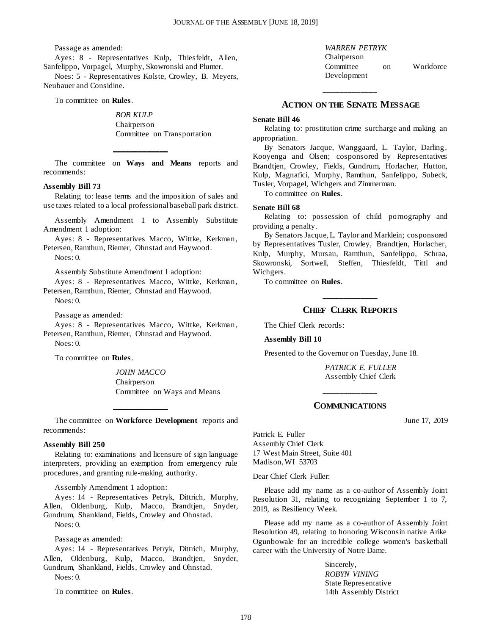Passage as amended:

Ayes: 8 - Representatives Kulp, Thiesfeldt, Allen, Sanfelippo, Vorpagel, Murphy, Skowronski and Plumer.

Noes: 5 - Representatives Kolste, Crowley, B. Meyers, Neubauer and Considine.

To committee on **Rules**.

*BOB KULP* Chairperson Committee on Transportation

The committee on **Ways and Means** reports and recommends:

**\_\_\_\_\_\_\_\_\_\_\_\_\_**

#### **Assembly Bill 73**

Relating to: lease terms and the imposition of sales and use taxes related to a local professional baseball park district.

Assembly Amendment 1 to Assembly Substitute Amendment 1 adoption:

Ayes: 8 - Representatives Macco, Wittke, Kerkman, Petersen, Ramthun, Riemer, Ohnstad and Haywood.

 $N$ oes: 0.

Assembly Substitute Amendment 1 adoption:

Ayes: 8 - Representatives Macco, Wittke, Kerkman, Petersen, Ramthun, Riemer, Ohnstad and Haywood. Noes: 0.

Passage as amended:

Ayes: 8 - Representatives Macco, Wittke, Kerkman, Petersen, Ramthun, Riemer, Ohnstad and Haywood.

Noes: 0.

To committee on **Rules**.

*JOHN MACCO* Chairperson Committee on Ways and Means

The committee on **Workforce Development** reports and recommends:

**\_\_\_\_\_\_\_\_\_\_\_\_\_**

#### **Assembly Bill 250**

Relating to: examinations and licensure of sign language interpreters, providing an exemption from emergency rule procedures, and granting rule-making authority.

Assembly Amendment 1 adoption:

Ayes: 14 - Representatives Petryk, Dittrich, Murphy, Allen, Oldenburg, Kulp, Macco, Brandtjen, Snyder, Gundrum, Shankland, Fields, Crowley and Ohnstad. Noes: 0.

Passage as amended:

Ayes: 14 - Representatives Petryk, Dittrich, Murphy, Allen, Oldenburg, Kulp, Macco, Brandtjen, Snyder, Gundrum, Shankland, Fields, Crowley and Ohnstad.

Noes: 0.

To committee on **Rules**.

#### **ACTION ON THE SENATE MESSAGE**

**\_\_\_\_\_\_\_\_\_\_\_\_\_**

#### **Senate Bill 46**

Relating to: prostitution crime surcharge and making an appropriation.

By Senators Jacque, Wanggaard, L. Taylor, Darling, Kooyenga and Olsen; cosponsored by Representatives Brandtjen, Crowley, Fields, Gundrum, Horlacher, Hutton, Kulp, Magnafici, Murphy, Ramthun, Sanfelippo, Subeck, Tusler, Vorpagel, Wichgers and Zimmerman.

To committee on **Rules**.

#### **Senate Bill 68**

Relating to: possession of child pornography and providing a penalty.

By Senators Jacque, L. Taylor and Marklein; cosponsored by Representatives Tusler, Crowley, Brandtjen, Horlacher, Kulp, Murphy, Mursau, Ramthun, Sanfelippo, Schraa, Skowronski, Sortwell, Steffen, Thiesfeldt, Tittl and Wichgers.

To committee on **Rules**.

## **\_\_\_\_\_\_\_\_\_\_\_\_\_ CHIEF CLERK REPORTS**

The Chief Clerk records:

**Assembly Bill 10**

Presented to the Governor on Tuesday, June 18.

*PATRICK E. FULLER* Assembly Chief Clerk

## **\_\_\_\_\_\_\_\_\_\_\_\_\_ COMMUNICATIONS**

June 17, 2019

Patrick E. Fuller Assembly Chief Clerk 17 West Main Street, Suite 401 Madison, WI 53703

Dear Chief Clerk Fuller:

Please add my name as a co-author of Assembly Joint Resolution 31, relating to recognizing September 1 to 7, 2019, as Resiliency Week.

Please add my name as a co-author of Assembly Joint Resolution 49, relating to honoring Wisconsin native Arike Ogunbowale for an incredible college women's basketball career with the University of Notre Dame.

> Sincerely, *ROBYN VINING* State Representative 14th Assembly District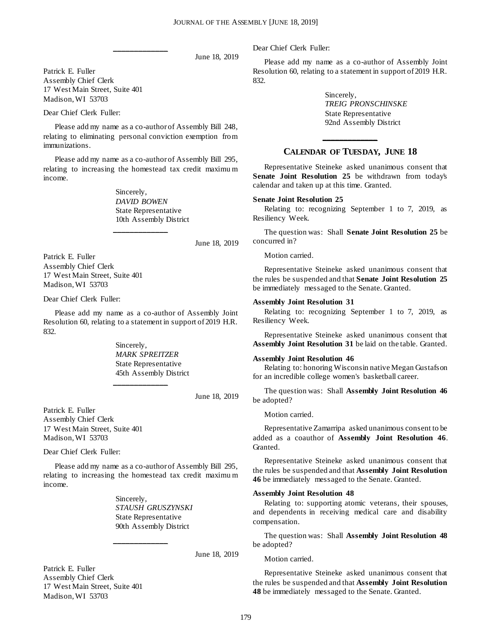June 18, 2019

Patrick E. Fuller Assembly Chief Clerk 17 West Main Street, Suite 401 Madison, WI 53703

Dear Chief Clerk Fuller:

Please add my name as a co-author of Assembly Bill 248, relating to eliminating personal conviction exemption from immunizations.

**\_\_\_\_\_\_\_\_\_\_\_\_\_**

Please add my name as a co-author of Assembly Bill 295, relating to increasing the homestead tax credit maximu m income.

**\_\_\_\_\_\_\_\_\_\_\_\_\_**

Sincerely, *DAVID BOWEN* State Representative 10th Assembly District

June 18, 2019

Patrick E. Fuller Assembly Chief Clerk 17 West Main Street, Suite 401 Madison, WI 53703

Dear Chief Clerk Fuller:

Please add my name as a co-author of Assembly Joint Resolution 60, relating to a statement in support of 2019 H.R. 832.

**\_\_\_\_\_\_\_\_\_\_\_\_\_**

Sincerely, *MARK SPREITZER* State Representative 45th Assembly District

June 18, 2019

Patrick E. Fuller Assembly Chief Clerk 17 West Main Street, Suite 401 Madison, WI 53703

Dear Chief Clerk Fuller:

Please add my name as a co-author of Assembly Bill 295, relating to increasing the homestead tax credit maximu m income.

**\_\_\_\_\_\_\_\_\_\_\_\_\_**

Sincerely, *STAUSH GRUSZYNSKI* State Representative 90th Assembly District

June 18, 2019

Patrick E. Fuller Assembly Chief Clerk 17 West Main Street, Suite 401 Madison, WI 53703

Dear Chief Clerk Fuller:

Please add my name as a co-author of Assembly Joint Resolution 60, relating to a statement in support of 2019 H.R. 832.

> Sincerely, *TREIG PRONSCHINSKE* State Representative 92nd Assembly District

## **\_\_\_\_\_\_\_\_\_\_\_\_\_ CALENDAR OF TUESDAY, JUNE 18**

Representative Steineke asked unanimous consent that **Senate Joint Resolution 25** be withdrawn from today's calendar and taken up at this time. Granted.

#### **Senate Joint Resolution 25**

Relating to: recognizing September 1 to 7, 2019, as Resiliency Week.

The question was: Shall **Senate Joint Resolution 25** be concurred in?

Motion carried.

Representative Steineke asked unanimous consent that the rules be suspended and that **Senate Joint Resolution 25** be immediately messaged to the Senate. Granted.

#### **Assembly Joint Resolution 31**

Relating to: recognizing September 1 to 7, 2019, as Resiliency Week.

Representative Steineke asked unanimous consent that **Assembly Joint Resolution 31** be laid on the table. Granted.

#### **Assembly Joint Resolution 46**

Relating to: honoring Wisconsin native Megan Gustafson for an incredible college women's basketball career.

The question was: Shall **Assembly Joint Resolution 46** be adopted?

Motion carried.

Representative Zamarripa asked unanimous consent to be added as a coauthor of **Assembly Joint Resolution 46**. Granted.

Representative Steineke asked unanimous consent that the rules be suspended and that **Assembly Joint Resolution 46** be immediately messaged to the Senate. Granted.

#### **Assembly Joint Resolution 48**

Relating to: supporting atomic veterans, their spouses, and dependents in receiving medical care and disability compensation.

The question was: Shall **Assembly Joint Resolution 48** be adopted?

Motion carried.

Representative Steineke asked unanimous consent that the rules be suspended and that **Assembly Joint Resolution 48** be immediately messaged to the Senate. Granted.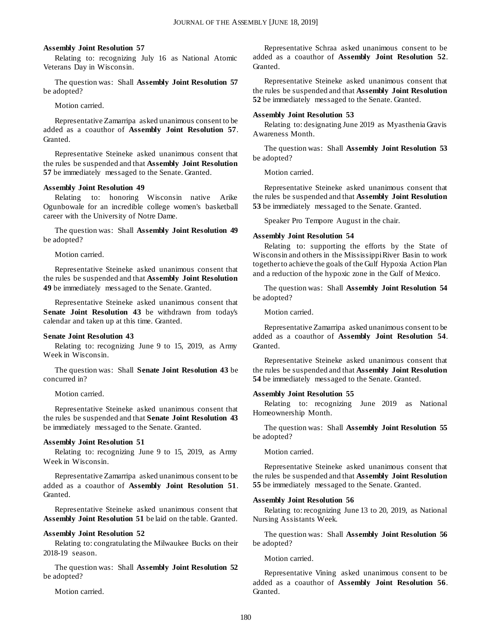#### **Assembly Joint Resolution 57**

Relating to: recognizing July 16 as National Atomic Veterans Day in Wisconsin.

The question was: Shall **Assembly Joint Resolution 57** be adopted?

Motion carried.

Representative Zamarripa asked unanimous consent to be added as a coauthor of **Assembly Joint Resolution 57**. Granted.

Representative Steineke asked unanimous consent that the rules be suspended and that **Assembly Joint Resolution 57** be immediately messaged to the Senate. Granted.

#### **Assembly Joint Resolution 49**

Relating to: honoring Wisconsin native Arike Ogunbowale for an incredible college women's basketball career with the University of Notre Dame.

The question was: Shall **Assembly Joint Resolution 49** be adopted?

Motion carried.

Representative Steineke asked unanimous consent that the rules be suspended and that **Assembly Joint Resolution 49** be immediately messaged to the Senate. Granted.

Representative Steineke asked unanimous consent that **Senate Joint Resolution 43** be withdrawn from today's calendar and taken up at this time. Granted.

#### **Senate Joint Resolution 43**

Relating to: recognizing June 9 to 15, 2019, as Army Week in Wisconsin.

The question was: Shall **Senate Joint Resolution 43** be concurred in?

Motion carried.

Representative Steineke asked unanimous consent that the rules be suspended and that **Senate Joint Resolution 43** be immediately messaged to the Senate. Granted.

#### **Assembly Joint Resolution 51**

Relating to: recognizing June 9 to 15, 2019, as Army Week in Wisconsin.

Representative Zamarripa asked unanimous consent to be added as a coauthor of **Assembly Joint Resolution 51**. Granted.

Representative Steineke asked unanimous consent that **Assembly Joint Resolution 51** be laid on the table. Granted.

#### **Assembly Joint Resolution 52**

Relating to: congratulating the Milwaukee Bucks on their 2018-19 season.

The question was: Shall **Assembly Joint Resolution 52** be adopted?

Motion carried.

Representative Schraa asked unanimous consent to be added as a coauthor of **Assembly Joint Resolution 52**. Granted.

Representative Steineke asked unanimous consent that the rules be suspended and that **Assembly Joint Resolution 52** be immediately messaged to the Senate. Granted.

#### **Assembly Joint Resolution 53**

Relating to: designating June 2019 as Myasthenia Gravis Awareness Month.

The question was: Shall **Assembly Joint Resolution 53** be adopted?

Motion carried.

Representative Steineke asked unanimous consent that the rules be suspended and that **Assembly Joint Resolution 53** be immediately messaged to the Senate. Granted.

Speaker Pro Tempore August in the chair.

#### **Assembly Joint Resolution 54**

Relating to: supporting the efforts by the State of Wisconsin and others in the Mississippi River Basin to work together to achieve the goals of the Gulf Hypoxia Action Plan and a reduction of the hypoxic zone in the Gulf of Mexico.

The question was: Shall **Assembly Joint Resolution 54** be adopted?

Motion carried.

Representative Zamarripa asked unanimous consent to be added as a coauthor of **Assembly Joint Resolution 54**. Granted.

Representative Steineke asked unanimous consent that the rules be suspended and that **Assembly Joint Resolution 54** be immediately messaged to the Senate. Granted.

#### **Assembly Joint Resolution 55**

Relating to: recognizing June 2019 as National Homeownership Month.

The question was: Shall **Assembly Joint Resolution 55** be adopted?

Motion carried.

Representative Steineke asked unanimous consent that the rules be suspended and that **Assembly Joint Resolution 55** be immediately messaged to the Senate. Granted.

#### **Assembly Joint Resolution 56**

Relating to: recognizing June 13 to 20, 2019, as National Nursing Assistants Week.

The question was: Shall **Assembly Joint Resolution 56** be adopted?

Motion carried.

Representative Vining asked unanimous consent to be added as a coauthor of **Assembly Joint Resolution 56**. Granted.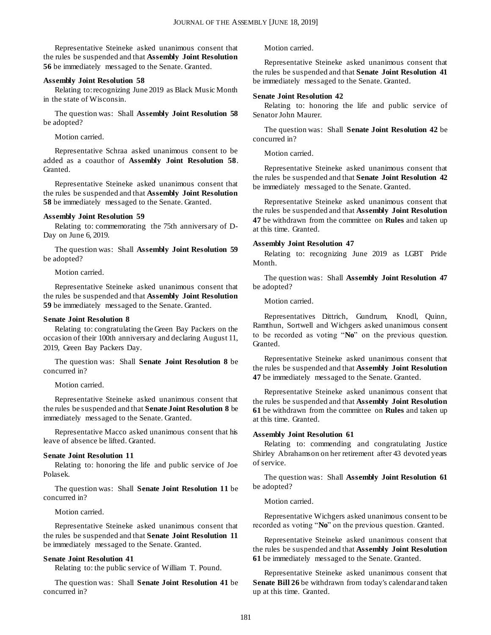Representative Steineke asked unanimous consent that the rules be suspended and that **Assembly Joint Resolution 56** be immediately messaged to the Senate. Granted.

#### **Assembly Joint Resolution 58**

Relating to: recognizing June 2019 as Black Music Month in the state of Wisconsin.

The question was: Shall **Assembly Joint Resolution 58** be adopted?

Motion carried.

Representative Schraa asked unanimous consent to be added as a coauthor of **Assembly Joint Resolution 58**. Granted.

Representative Steineke asked unanimous consent that the rules be suspended and that **Assembly Joint Resolution 58** be immediately messaged to the Senate. Granted.

#### **Assembly Joint Resolution 59**

Relating to: commemorating the 75th anniversary of D-Day on June 6, 2019.

The question was: Shall **Assembly Joint Resolution 59** be adopted?

Motion carried.

Representative Steineke asked unanimous consent that the rules be suspended and that **Assembly Joint Resolution 59** be immediately messaged to the Senate. Granted.

#### **Senate Joint Resolution 8**

Relating to: congratulating the Green Bay Packers on the occasion of their 100th anniversary and declaring August 11, 2019, Green Bay Packers Day.

The question was: Shall **Senate Joint Resolution 8** be concurred in?

Motion carried.

Representative Steineke asked unanimous consent that the rules be suspended and that **Senate Joint Resolution 8** be immediately messaged to the Senate. Granted.

Representative Macco asked unanimous consent that his leave of absence be lifted. Granted.

#### **Senate Joint Resolution 11**

Relating to: honoring the life and public service of Joe Polasek.

The question was: Shall **Senate Joint Resolution 11** be concurred in?

Motion carried.

Representative Steineke asked unanimous consent that the rules be suspended and that **Senate Joint Resolution 11** be immediately messaged to the Senate. Granted.

#### **Senate Joint Resolution 41**

Relating to: the public service of William T. Pound.

The question was: Shall **Senate Joint Resolution 41** be concurred in?

Motion carried.

Representative Steineke asked unanimous consent that the rules be suspended and that **Senate Joint Resolution 41** be immediately messaged to the Senate. Granted.

#### **Senate Joint Resolution 42**

Relating to: honoring the life and public service of Senator John Maurer.

The question was: Shall **Senate Joint Resolution 42** be concurred in?

Motion carried.

Representative Steineke asked unanimous consent that the rules be suspended and that **Senate Joint Resolution 42** be immediately messaged to the Senate. Granted.

Representative Steineke asked unanimous consent that the rules be suspended and that **Assembly Joint Resolution 47** be withdrawn from the committee on **Rules** and taken up at this time. Granted.

#### **Assembly Joint Resolution 47**

Relating to: recognizing June 2019 as LGBT Pride Month.

The question was: Shall **Assembly Joint Resolution 47** be adopted?

Motion carried.

Representatives Dittrich, Gundrum, Knodl, Quinn, Ramthun, Sortwell and Wichgers asked unanimous consent to be recorded as voting "**No**" on the previous question. Granted.

Representative Steineke asked unanimous consent that the rules be suspended and that **Assembly Joint Resolution 47** be immediately messaged to the Senate. Granted.

Representative Steineke asked unanimous consent that the rules be suspended and that **Assembly Joint Resolution 61** be withdrawn from the committee on **Rules** and taken up at this time. Granted.

#### **Assembly Joint Resolution 61**

Relating to: commending and congratulating Justice Shirley Abrahamson on her retirement after 43 devoted years of service.

The question was: Shall **Assembly Joint Resolution 61** be adopted?

#### Motion carried.

Representative Wichgers asked unanimous consent to be recorded as voting "**No**" on the previous question. Granted.

Representative Steineke asked unanimous consent that the rules be suspended and that **Assembly Joint Resolution 61** be immediately messaged to the Senate. Granted.

Representative Steineke asked unanimous consent that **Senate Bill 26** be withdrawn from today's calendar and taken up at this time. Granted.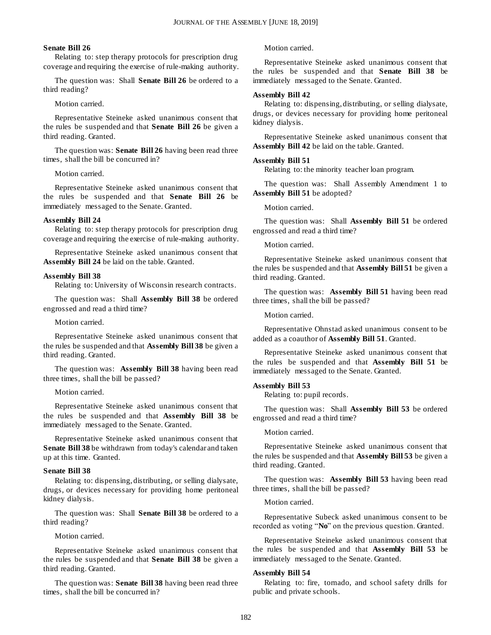#### **Senate Bill 26**

Relating to: step therapy protocols for prescription drug coverage and requiring the exercise of rule-making authority.

The question was: Shall **Senate Bill 26** be ordered to a third reading?

#### Motion carried.

Representative Steineke asked unanimous consent that the rules be suspended and that **Senate Bill 26** be given a third reading. Granted.

The question was: **Senate Bill 26** having been read three times, shall the bill be concurred in?

Motion carried.

Representative Steineke asked unanimous consent that the rules be suspended and that **Senate Bill 26** be immediately messaged to the Senate. Granted.

#### **Assembly Bill 24**

Relating to: step therapy protocols for prescription drug coverage and requiring the exercise of rule-making authority.

Representative Steineke asked unanimous consent that **Assembly Bill 24** be laid on the table. Granted.

#### **Assembly Bill 38**

Relating to: University of Wisconsin research contracts.

The question was: Shall **Assembly Bill 38** be ordered engrossed and read a third time?

Motion carried.

Representative Steineke asked unanimous consent that the rules be suspended and that **Assembly Bill 38** be given a third reading. Granted.

The question was: **Assembly Bill 38** having been read three times, shall the bill be passed?

Motion carried.

Representative Steineke asked unanimous consent that the rules be suspended and that **Assembly Bill 38** be immediately messaged to the Senate. Granted.

Representative Steineke asked unanimous consent that **Senate Bill 38** be withdrawn from today's calendar and taken up at this time. Granted.

#### **Senate Bill 38**

Relating to: dispensing, distributing, or selling dialysate, drugs, or devices necessary for providing home peritoneal kidney dialysis.

The question was: Shall **Senate Bill 38** be ordered to a third reading?

Motion carried.

Representative Steineke asked unanimous consent that the rules be suspended and that **Senate Bill 38** be given a third reading. Granted.

The question was: **Senate Bill 38** having been read three times, shall the bill be concurred in?

Motion carried.

Representative Steineke asked unanimous consent that the rules be suspended and that **Senate Bill 38** be immediately messaged to the Senate. Granted.

#### **Assembly Bill 42**

Relating to: dispensing, distributing, or selling dialysate, drugs, or devices necessary for providing home peritoneal kidney dialysis.

Representative Steineke asked unanimous consent that **Assembly Bill 42** be laid on the table. Granted.

#### **Assembly Bill 51**

Relating to: the minority teacher loan program.

The question was: Shall Assembly Amendment 1 to **Assembly Bill 51** be adopted?

Motion carried.

The question was: Shall **Assembly Bill 51** be ordered engrossed and read a third time?

Motion carried.

Representative Steineke asked unanimous consent that the rules be suspended and that **Assembly Bill 51** be given a third reading. Granted.

The question was: **Assembly Bill 51** having been read three times, shall the bill be passed?

Motion carried.

Representative Ohnstad asked unanimous consent to be added as a coauthor of **Assembly Bill 51**. Granted.

Representative Steineke asked unanimous consent that the rules be suspended and that **Assembly Bill 51** be immediately messaged to the Senate. Granted.

#### **Assembly Bill 53**

Relating to: pupil records.

The question was: Shall **Assembly Bill 53** be ordered engrossed and read a third time?

Motion carried.

Representative Steineke asked unanimous consent that the rules be suspended and that **Assembly Bill 53** be given a third reading. Granted.

The question was: **Assembly Bill 53** having been read three times, shall the bill be passed?

Motion carried.

Representative Subeck asked unanimous consent to be recorded as voting "**No**" on the previous question. Granted.

Representative Steineke asked unanimous consent that the rules be suspended and that **Assembly Bill 53** be immediately messaged to the Senate. Granted.

#### **Assembly Bill 54**

Relating to: fire, tornado, and school safety drills for public and private schools.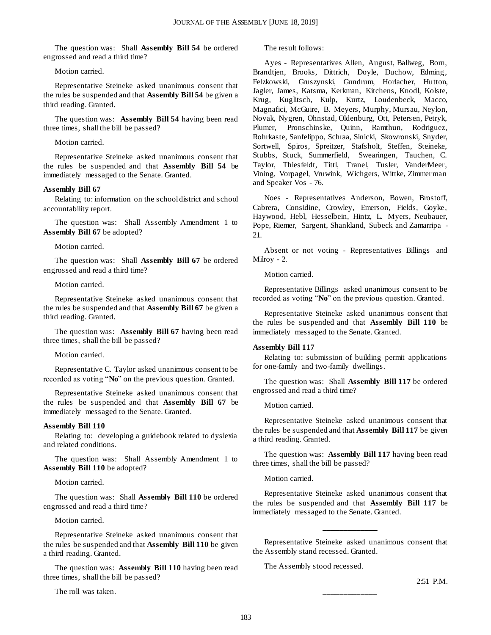The question was: Shall **Assembly Bill 54** be ordered engrossed and read a third time?

Motion carried.

Representative Steineke asked unanimous consent that the rules be suspended and that **Assembly Bill 54** be given a third reading. Granted.

The question was: **Assembly Bill 54** having been read three times, shall the bill be passed?

Motion carried.

Representative Steineke asked unanimous consent that the rules be suspended and that **Assembly Bill 54** be immediately messaged to the Senate. Granted.

#### **Assembly Bill 67**

Relating to: information on the school district and school accountability report.

The question was: Shall Assembly Amendment 1 to **Assembly Bill 67** be adopted?

Motion carried.

The question was: Shall **Assembly Bill 67** be ordered engrossed and read a third time?

Motion carried.

Representative Steineke asked unanimous consent that the rules be suspended and that **Assembly Bill 67** be given a third reading. Granted.

The question was: **Assembly Bill 67** having been read three times, shall the bill be passed?

Motion carried.

Representative C. Taylor asked unanimous consent to be recorded as voting "**No**" on the previous question. Granted.

Representative Steineke asked unanimous consent that the rules be suspended and that **Assembly Bill 67** be immediately messaged to the Senate. Granted.

#### **Assembly Bill 110**

Relating to: developing a guidebook related to dyslexia and related conditions.

The question was: Shall Assembly Amendment 1 to **Assembly Bill 110** be adopted?

Motion carried.

The question was: Shall **Assembly Bill 110** be ordered engrossed and read a third time?

Motion carried.

Representative Steineke asked unanimous consent that the rules be suspended and that **Assembly Bill 110** be given a third reading. Granted.

The question was: **Assembly Bill 110** having been read three times, shall the bill be passed?

The roll was taken.

The result follows:

Ayes - Representatives Allen, August, Ballweg, Born, Brandtjen, Brooks, Dittrich, Doyle, Duchow, Edming, Felzkowski, Gruszynski, Gundrum, Horlacher, Hutton, Jagler, James, Katsma, Kerkman, Kitchens, Knodl, Kolste, Krug, Kuglitsch, Kulp, Kurtz, Loudenbeck, Macco, Magnafici, McGuire, B. Meyers, Murphy, Mursau, Neylon, Novak, Nygren, Ohnstad, Oldenburg, Ott, Petersen, Petryk, Plumer, Pronschinske, Quinn, Ramthun, Rodriguez, Rohrkaste, Sanfelippo, Schraa, Sinicki, Skowronski, Snyder, Sortwell, Spiros, Spreitzer, Stafsholt, Steffen, Steineke, Stubbs, Stuck, Summerfield, Swearingen, Tauchen, C. Taylor, Thiesfeldt, Tittl, Tranel, Tusler, VanderMeer, Vining, Vorpagel, Vruwink, Wichgers, Wittke, Zimmer man and Speaker Vos - 76.

Noes - Representatives Anderson, Bowen, Brostoff, Cabrera, Considine, Crowley, Emerson, Fields, Goyke, Haywood, Hebl, Hesselbein, Hintz, L. Myers, Neubauer, Pope, Riemer, Sargent, Shankland, Subeck and Zamarripa - 21.

Absent or not voting - Representatives Billings and Milroy - 2.

Motion carried.

Representative Billings asked unanimous consent to be recorded as voting "**No**" on the previous question. Granted.

Representative Steineke asked unanimous consent that the rules be suspended and that **Assembly Bill 110** be immediately messaged to the Senate. Granted.

#### **Assembly Bill 117**

Relating to: submission of building permit applications for one-family and two-family dwellings.

The question was: Shall **Assembly Bill 117** be ordered engrossed and read a third time?

Motion carried.

Representative Steineke asked unanimous consent that the rules be suspended and that **Assembly Bill 117** be given a third reading. Granted.

The question was: **Assembly Bill 117** having been read three times, shall the bill be passed?

Motion carried.

Representative Steineke asked unanimous consent that the rules be suspended and that **Assembly Bill 117** be immediately messaged to the Senate. Granted.

Representative Steineke asked unanimous consent that the Assembly stand recessed. Granted.

**\_\_\_\_\_\_\_\_\_\_\_\_\_**

**\_\_\_\_\_\_\_\_\_\_\_\_\_**

The Assembly stood recessed.

2:51 P.M.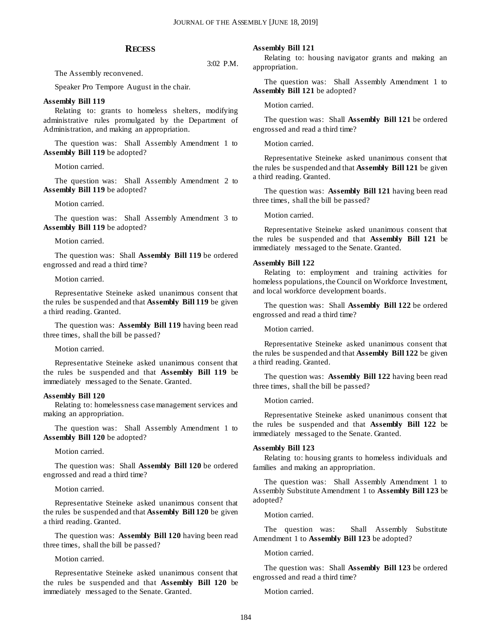3:02 P.M.

#### **RECESS**

The Assembly reconvened.

Speaker Pro Tempore August in the chair.

#### **Assembly Bill 119**

Relating to: grants to homeless shelters, modifying administrative rules promulgated by the Department of Administration, and making an appropriation.

The question was: Shall Assembly Amendment 1 to **Assembly Bill 119** be adopted?

Motion carried.

The question was: Shall Assembly Amendment 2 to **Assembly Bill 119** be adopted?

Motion carried.

The question was: Shall Assembly Amendment 3 to **Assembly Bill 119** be adopted?

Motion carried.

The question was: Shall **Assembly Bill 119** be ordered engrossed and read a third time?

Motion carried.

Representative Steineke asked unanimous consent that the rules be suspended and that **Assembly Bill 119** be given a third reading. Granted.

The question was: **Assembly Bill 119** having been read three times, shall the bill be passed?

Motion carried.

Representative Steineke asked unanimous consent that the rules be suspended and that **Assembly Bill 119** be immediately messaged to the Senate. Granted.

#### **Assembly Bill 120**

Relating to: homelessness case management services and making an appropriation.

The question was: Shall Assembly Amendment 1 to **Assembly Bill 120** be adopted?

Motion carried.

The question was: Shall **Assembly Bill 120** be ordered engrossed and read a third time?

Motion carried.

Representative Steineke asked unanimous consent that the rules be suspended and that **Assembly Bill 120** be given a third reading. Granted.

The question was: **Assembly Bill 120** having been read three times, shall the bill be passed?

Motion carried.

Representative Steineke asked unanimous consent that the rules be suspended and that **Assembly Bill 120** be immediately messaged to the Senate. Granted.

#### **Assembly Bill 121**

Relating to: housing navigator grants and making an appropriation.

The question was: Shall Assembly Amendment 1 to **Assembly Bill 121** be adopted?

Motion carried.

The question was: Shall **Assembly Bill 121** be ordered engrossed and read a third time?

Motion carried.

Representative Steineke asked unanimous consent that the rules be suspended and that **Assembly Bill 121** be given a third reading. Granted.

The question was: **Assembly Bill 121** having been read three times, shall the bill be passed?

Motion carried.

Representative Steineke asked unanimous consent that the rules be suspended and that **Assembly Bill 121** be immediately messaged to the Senate. Granted.

#### **Assembly Bill 122**

Relating to: employment and training activities for homeless populations, the Council on Workforce Investment, and local workforce development boards.

The question was: Shall **Assembly Bill 122** be ordered engrossed and read a third time?

Motion carried.

Representative Steineke asked unanimous consent that the rules be suspended and that **Assembly Bill 122** be given a third reading. Granted.

The question was: **Assembly Bill 122** having been read three times, shall the bill be passed?

Motion carried.

Representative Steineke asked unanimous consent that the rules be suspended and that **Assembly Bill 122** be immediately messaged to the Senate. Granted.

#### **Assembly Bill 123**

Relating to: housing grants to homeless individuals and families and making an appropriation.

The question was: Shall Assembly Amendment 1 to Assembly Substitute Amendment 1 to **Assembly Bill 123** be adopted?

Motion carried.

The question was: Shall Assembly Substitute Amendment 1 to **Assembly Bill 123** be adopted?

Motion carried.

The question was: Shall **Assembly Bill 123** be ordered engrossed and read a third time?

Motion carried.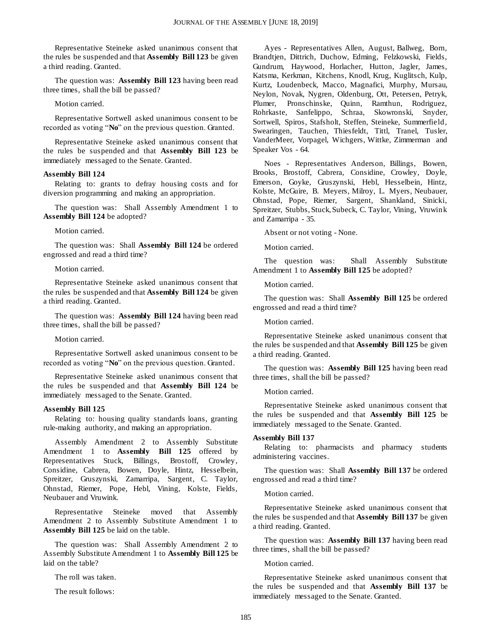Representative Steineke asked unanimous consent that the rules be suspended and that **Assembly Bill 123** be given a third reading. Granted.

The question was: **Assembly Bill 123** having been read three times, shall the bill be passed?

Motion carried.

Representative Sortwell asked unanimous consent to be recorded as voting "**No**" on the previous question. Granted.

Representative Steineke asked unanimous consent that the rules be suspended and that **Assembly Bill 123** be immediately messaged to the Senate. Granted.

#### **Assembly Bill 124**

Relating to: grants to defray housing costs and for diversion programming and making an appropriation.

The question was: Shall Assembly Amendment 1 to **Assembly Bill 124** be adopted?

#### Motion carried.

The question was: Shall **Assembly Bill 124** be ordered engrossed and read a third time?

#### Motion carried.

Representative Steineke asked unanimous consent that the rules be suspended and that **Assembly Bill 124** be given a third reading. Granted.

The question was: **Assembly Bill 124** having been read three times, shall the bill be passed?

Motion carried.

Representative Sortwell asked unanimous consent to be recorded as voting "**No**" on the previous question. Granted.

Representative Steineke asked unanimous consent that the rules be suspended and that **Assembly Bill 124** be immediately messaged to the Senate. Granted.

#### **Assembly Bill 125**

Relating to: housing quality standards loans, granting rule-making authority, and making an appropriation.

Assembly Amendment 2 to Assembly Substitute Amendment 1 to **Assembly Bill 125** offered by Representatives Stuck, Billings, Brostoff, Crowley, Considine, Cabrera, Bowen, Doyle, Hintz, Hesselbein, Spreitzer, Gruszynski, Zamarripa, Sargent, C. Taylor, Ohnstad, Riemer, Pope, Hebl, Vining, Kolste, Fields, Neubauer and Vruwink.

Representative Steineke moved that Assembly Amendment 2 to Assembly Substitute Amendment 1 to **Assembly Bill 125** be laid on the table.

The question was: Shall Assembly Amendment 2 to Assembly Substitute Amendment 1 to **Assembly Bill 125** be laid on the table?

The roll was taken.

The result follows:

Ayes - Representatives Allen, August, Ballweg, Born, Brandtjen, Dittrich, Duchow, Edming, Felzkowski, Fields, Gundrum, Haywood, Horlacher, Hutton, Jagler, James, Katsma, Kerkman, Kitchens, Knodl, Krug, Kuglitsch, Kulp, Kurtz, Loudenbeck, Macco, Magnafici, Murphy, Mursau, Neylon, Novak, Nygren, Oldenburg, Ott, Petersen, Petryk, Plumer, Pronschinske, Quinn, Ramthun, Rodriguez, Rohrkaste, Sanfelippo, Schraa, Skowronski, Snyder, Sortwell, Spiros, Stafsholt, Steffen, Steineke, Summerfield, Swearingen, Tauchen, Thiesfeldt, Tittl, Tranel, Tusler, VanderMeer, Vorpagel, Wichgers, Wittke, Zimmerman and Speaker Vos - 64.

Noes - Representatives Anderson, Billings, Bowen, Brooks, Brostoff, Cabrera, Considine, Crowley, Doyle, Emerson, Goyke, Gruszynski, Hebl, Hesselbein, Hintz, Kolste, McGuire, B. Meyers, Milroy, L. Myers, Neubauer, Ohnstad, Pope, Riemer, Sargent, Shankland, Sinicki, Spreitzer, Stubbs, Stuck, Subeck, C. Taylor, Vining, Vruwink and Zamarripa - 35.

Absent or not voting - None.

Motion carried.

The question was: Shall Assembly Substitute Amendment 1 to **Assembly Bill 125** be adopted?

Motion carried.

The question was: Shall **Assembly Bill 125** be ordered engrossed and read a third time?

Motion carried.

Representative Steineke asked unanimous consent that the rules be suspended and that **Assembly Bill 125** be given a third reading. Granted.

The question was: **Assembly Bill 125** having been read three times, shall the bill be passed?

Motion carried.

Representative Steineke asked unanimous consent that the rules be suspended and that **Assembly Bill 125** be immediately messaged to the Senate. Granted.

#### **Assembly Bill 137**

Relating to: pharmacists and pharmacy students administering vaccines.

The question was: Shall **Assembly Bill 137** be ordered engrossed and read a third time?

Motion carried.

Representative Steineke asked unanimous consent that the rules be suspended and that **Assembly Bill 137** be given a third reading. Granted.

The question was: **Assembly Bill 137** having been read three times, shall the bill be passed?

Motion carried.

Representative Steineke asked unanimous consent that the rules be suspended and that **Assembly Bill 137** be immediately messaged to the Senate. Granted.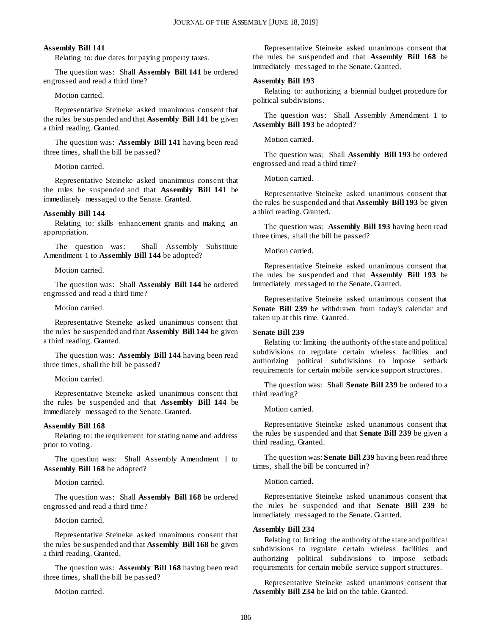#### **Assembly Bill 141**

Relating to: due dates for paying property taxes.

The question was: Shall **Assembly Bill 141** be ordered engrossed and read a third time?

Motion carried.

Representative Steineke asked unanimous consent that the rules be suspended and that **Assembly Bill 141** be given a third reading. Granted.

The question was: **Assembly Bill 141** having been read three times, shall the bill be passed?

Motion carried.

Representative Steineke asked unanimous consent that the rules be suspended and that **Assembly Bill 141** be immediately messaged to the Senate. Granted.

#### **Assembly Bill 144**

Relating to: skills enhancement grants and making an appropriation.

The question was: Shall Assembly Substitute Amendment 1 to **Assembly Bill 144** be adopted?

Motion carried.

The question was: Shall **Assembly Bill 144** be ordered engrossed and read a third time?

Motion carried.

Representative Steineke asked unanimous consent that the rules be suspended and that **Assembly Bill 144** be given a third reading. Granted.

The question was: **Assembly Bill 144** having been read three times, shall the bill be passed?

Motion carried.

Representative Steineke asked unanimous consent that the rules be suspended and that **Assembly Bill 144** be immediately messaged to the Senate. Granted.

#### **Assembly Bill 168**

Relating to: the requirement for stating name and address prior to voting.

The question was: Shall Assembly Amendment 1 to **Assembly Bill 168** be adopted?

Motion carried.

The question was: Shall **Assembly Bill 168** be ordered engrossed and read a third time?

Motion carried.

Representative Steineke asked unanimous consent that the rules be suspended and that **Assembly Bill 168** be given a third reading. Granted.

The question was: **Assembly Bill 168** having been read three times, shall the bill be passed?

Motion carried.

Representative Steineke asked unanimous consent that the rules be suspended and that **Assembly Bill 168** be immediately messaged to the Senate. Granted.

#### **Assembly Bill 193**

Relating to: authorizing a biennial budget procedure for political subdivisions.

The question was: Shall Assembly Amendment 1 to **Assembly Bill 193** be adopted?

Motion carried.

The question was: Shall **Assembly Bill 193** be ordered engrossed and read a third time?

Motion carried.

Representative Steineke asked unanimous consent that the rules be suspended and that **Assembly Bill 193** be given a third reading. Granted.

The question was: **Assembly Bill 193** having been read three times, shall the bill be passed?

Motion carried.

Representative Steineke asked unanimous consent that the rules be suspended and that **Assembly Bill 193** be immediately messaged to the Senate. Granted.

Representative Steineke asked unanimous consent that **Senate Bill 239** be withdrawn from today's calendar and taken up at this time. Granted.

#### **Senate Bill 239**

Relating to: limiting the authority of the state and political subdivisions to regulate certain wireless facilities and authorizing political subdivisions to impose setback requirements for certain mobile service support structures.

The question was: Shall **Senate Bill 239** be ordered to a third reading?

Motion carried.

Representative Steineke asked unanimous consent that the rules be suspended and that **Senate Bill 239** be given a third reading. Granted.

The question was: **Senate Bill 239** having been read three times, shall the bill be concurred in?

Motion carried.

Representative Steineke asked unanimous consent that the rules be suspended and that **Senate Bill 239** be immediately messaged to the Senate. Granted.

#### **Assembly Bill 234**

Relating to: limiting the authority of the state and political subdivisions to regulate certain wireless facilities and authorizing political subdivisions to impose setback requirements for certain mobile service support structures.

Representative Steineke asked unanimous consent that **Assembly Bill 234** be laid on the table. Granted.

186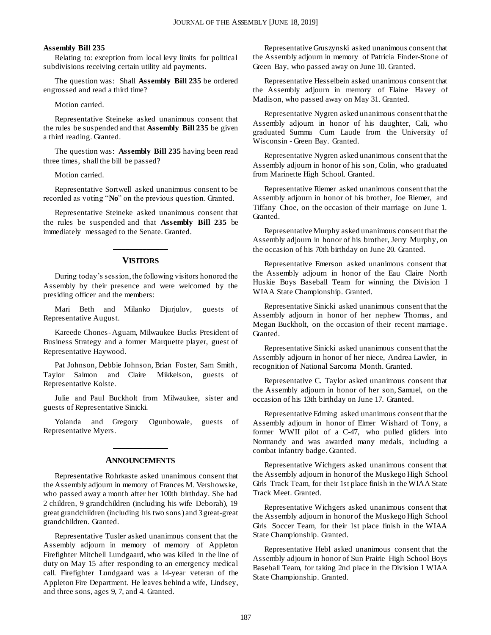#### **Assembly Bill 235**

Relating to: exception from local levy limits for political subdivisions receiving certain utility aid payments.

The question was: Shall **Assembly Bill 235** be ordered engrossed and read a third time?

#### Motion carried.

Representative Steineke asked unanimous consent that the rules be suspended and that **Assembly Bill 235** be given a third reading. Granted.

The question was: **Assembly Bill 235** having been read three times, shall the bill be passed?

Motion carried.

Representative Sortwell asked unanimous consent to be recorded as voting "**No**" on the previous question. Granted.

Representative Steineke asked unanimous consent that the rules be suspended and that **Assembly Bill 235** be immediately messaged to the Senate. Granted.

## **\_\_\_\_\_\_\_\_\_\_\_\_\_ VISITORS**

During today's session, the following visitors honored the Assembly by their presence and were welcomed by the presiding officer and the members:

Mari Beth and Milanko Djurjulov, guests of Representative August.

Kareede Chones-Aguam, Milwaukee Bucks President of Business Strategy and a former Marquette player, guest of Representative Haywood.

Pat Johnson, Debbie Johnson, Brian Foster, Sam Smith, Taylor Salmon and Claire Mikkelson, guests of Representative Kolste.

Julie and Paul Buckholt from Milwaukee, sister and guests of Representative Sinicki.

Yolanda and Gregory Ogunbowale, guests of Representative Myers.

#### **ANNOUNCEMENTS**

**\_\_\_\_\_\_\_\_\_\_\_\_\_**

Representative Rohrkaste asked unanimous consent that the Assembly adjourn in memory of Frances M. Vershowske, who passed away a month after her 100th birthday. She had 2 children, 9 grandchildren (including his wife Deborah), 19 great grandchildren (including his two sons) and 3 great-great grandchildren. Granted.

Representative Tusler asked unanimous consent that the Assembly adjourn in memory of memory of Appleton Firefighter Mitchell Lundgaard, who was killed in the line of duty on May 15 after responding to an emergency medical call. Firefighter Lundgaard was a 14-year veteran of the Appleton Fire Department. He leaves behind a wife, Lindsey, and three sons, ages 9, 7, and 4. Granted.

Representative Gruszynski asked unanimous consent that the Assembly adjourn in memory of Patricia Finder-Stone of Green Bay, who passed away on June 10. Granted.

Representative Hesselbein asked unanimous consent that the Assembly adjourn in memory of Elaine Havey of Madison, who passed away on May 31. Granted.

Representative Nygren asked unanimous consent that the Assembly adjourn in honor of his daughter, Cali, who graduated Summa Cum Laude from the University of Wisconsin - Green Bay. Granted.

Representative Nygren asked unanimous consent that the Assembly adjourn in honor of his son, Colin, who graduated from Marinette High School. Granted.

Representative Riemer asked unanimous consent that the Assembly adjourn in honor of his brother, Joe Riemer, and Tiffany Choe, on the occasion of their marriage on June 1. Granted.

Representative Murphy asked unanimous consent that the Assembly adjourn in honor of his brother, Jerry Murphy, on the occasion of his 70th birthday on June 20. Granted.

Representative Emerson asked unanimous consent that the Assembly adjourn in honor of the Eau Claire North Huskie Boys Baseball Team for winning the Division I WIAA State Championship. Granted.

Representative Sinicki asked unanimous consent that the Assembly adjourn in honor of her nephew Thomas, and Megan Buckholt, on the occasion of their recent marriage. Granted.

Representative Sinicki asked unanimous consent that the Assembly adjourn in honor of her niece, Andrea Lawler, in recognition of National Sarcoma Month. Granted.

Representative C. Taylor asked unanimous consent that the Assembly adjourn in honor of her son, Samuel, on the occasion of his 13th birthday on June 17. Granted.

Representative Edming asked unanimous consent that the Assembly adjourn in honor of Elmer Wishard of Tony, a former WWII pilot of a C-47, who pulled gliders into Normandy and was awarded many medals, including a combat infantry badge. Granted.

Representative Wichgers asked unanimous consent that the Assembly adjourn in honor of the Muskego High School Girls Track Team, for their 1st place finish in the WIAA State Track Meet. Granted.

Representative Wichgers asked unanimous consent that the Assembly adjourn in honor of the Muskego High School Girls Soccer Team, for their 1st place finish in the WIAA State Championship. Granted.

Representative Hebl asked unanimous consent that the Assembly adjourn in honor of Sun Prairie High School Boys Baseball Team, for taking 2nd place in the Division I WIAA State Championship. Granted.